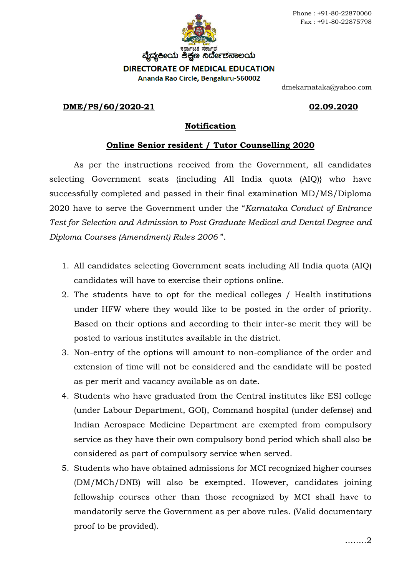

dmekarnataka@yahoo.com

## **DME/PS/60/2020-21 02.09.2020**

## **Notification**

## **Online Senior resident / Tutor Counselling 2020**

As per the instructions received from the Government, all candidates selecting Government seats {including All India quota (AIQ)} who have successfully completed and passed in their final examination MD/MS/Diploma 2020 have to serve the Government under the "*Karnataka Conduct of Entrance Test for Selection and Admission to Post Graduate Medical and Dental Degree and Diploma Courses (Amendment) Rules 2006* ".

- 1. All candidates selecting Government seats including All India quota (AIQ) candidates will have to exercise their options online.
- 2. The students have to opt for the medical colleges / Health institutions under HFW where they would like to be posted in the order of priority. Based on their options and according to their inter-se merit they will be posted to various institutes available in the district.
- 3. Non-entry of the options will amount to non-compliance of the order and extension of time will not be considered and the candidate will be posted as per merit and vacancy available as on date.
- 4. Students who have graduated from the Central institutes like ESI college (under Labour Department, GOI), Command hospital (under defense) and Indian Aerospace Medicine Department are exempted from compulsory service as they have their own compulsory bond period which shall also be considered as part of compulsory service when served.
- 5. Students who have obtained admissions for MCI recognized higher courses (DM/MCh/DNB) will also be exempted. However, candidates joining fellowship courses other than those recognized by MCI shall have to mandatorily serve the Government as per above rules. (Valid documentary proof to be provided).